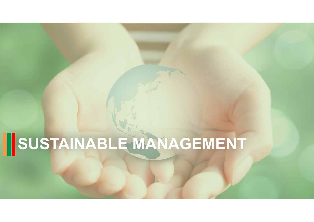# **SUSTAINABLE MANAGEMENT**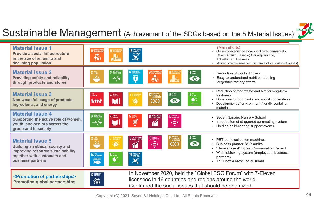

### Sustainable Management (Achievement of the SDGs based on the 5 Material Issues)

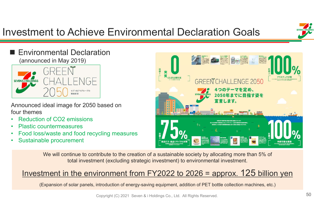# Investment to Achieve Environmental Declaration Goals



#### Environmental Declaration (announced in May 2019)



Announced ideal image for 2050 based on four themes

- •Reduction of CO2 emissions
- •Plastic countermeasures
- •Food loss/waste and food recycling measures
- •Sustainable procurement



We will continue to contribute to the creation of a sustainable society by allocating more than 5% of total investment (excluding strategic investment) to environmental investment.

### Investment in the environment from FY2022 to 2026 = approx. 125 billion yen

(Expansion of solar panels, introduction of energy-saving equipment, addition of PET bottle collection machines, etc.)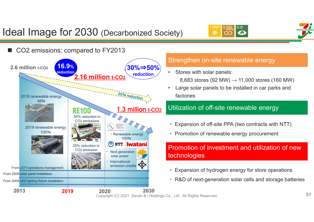

## Ideal Image for 2030 (Decarbonized Society)

 $\infty$ 

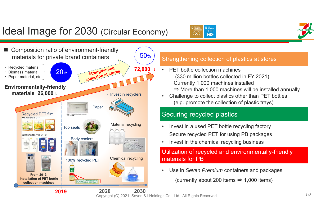# Ideal Image for 2030 (Circular Economy)



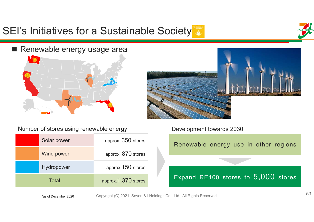# SEI's Initiatives for a Sustainable Society<sup>1</sup>



#### ■ Renewable energy usage area





Number of stores using renewable energy

| Solar power       | approx. 350 stores  |
|-------------------|---------------------|
| <b>Wind power</b> | approx. 870 stores  |
| Hydropower        | approx. 150 stores  |
| Total             | approx.1,370 stores |

Development towards 2030

Renewable energy use in other regions

Expand RE100 stores to 5,000 stores

\*as of December 2020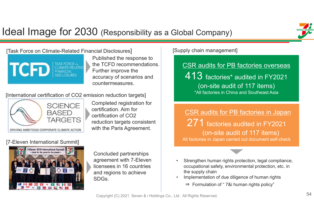# Ideal Image for 2030 (Responsibility as a Global Company)



[Task Force on Climate-Related Financial Disclosures]



Published the response to the TCFD recommendations. Further improve the accuracy of scenarios and countermeasures.

[International certification of CO2 emission reduction targets]



Completed registration for certification. Aim for certification of CO2 reduction targets consistent with the Paris Agreement.

#### [7-Eleven International Summit]



Concluded partnerships agreement with 7-Eleven licensees in 16 countries and regions to achieve SDGs.

#### [Supply chain management]

CSR audits for PB factories overseas

413 factories\* audited in FY2021 (on-site audit of 117 items) \*All factories in China and Southeast Asia

CSR audits for PB factories in Japan  $271$  factories audited in FY2021 (on-site audit of 117 items) All factories in Japan carried out document self-check

- • Strengthen human rights protection, legal compliance, occupational safety, environmental protection, etc. in the supply chain
- • Implementation of due diligence of human rights
	- ⇒ Formulation of " 7&i human rights policy"